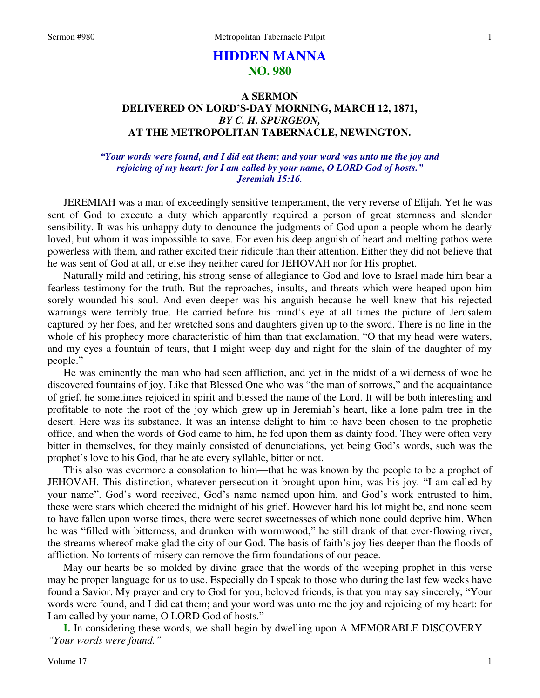# **HIDDEN MANNA NO. 980**

# **A SERMON DELIVERED ON LORD'S-DAY MORNING, MARCH 12, 1871,**  *BY C. H. SPURGEON,*  **AT THE METROPOLITAN TABERNACLE, NEWINGTON.**

### *"Your words were found, and I did eat them; and your word was unto me the joy and rejoicing of my heart: for I am called by your name, O LORD God of hosts." Jeremiah 15:16.*

JEREMIAH was a man of exceedingly sensitive temperament, the very reverse of Elijah. Yet he was sent of God to execute a duty which apparently required a person of great sternness and slender sensibility. It was his unhappy duty to denounce the judgments of God upon a people whom he dearly loved, but whom it was impossible to save. For even his deep anguish of heart and melting pathos were powerless with them, and rather excited their ridicule than their attention. Either they did not believe that he was sent of God at all, or else they neither cared for JEHOVAH nor for His prophet.

Naturally mild and retiring, his strong sense of allegiance to God and love to Israel made him bear a fearless testimony for the truth. But the reproaches, insults, and threats which were heaped upon him sorely wounded his soul. And even deeper was his anguish because he well knew that his rejected warnings were terribly true. He carried before his mind's eye at all times the picture of Jerusalem captured by her foes, and her wretched sons and daughters given up to the sword. There is no line in the whole of his prophecy more characteristic of him than that exclamation, "O that my head were waters, and my eyes a fountain of tears, that I might weep day and night for the slain of the daughter of my people."

He was eminently the man who had seen affliction, and yet in the midst of a wilderness of woe he discovered fountains of joy. Like that Blessed One who was "the man of sorrows," and the acquaintance of grief, he sometimes rejoiced in spirit and blessed the name of the Lord. It will be both interesting and profitable to note the root of the joy which grew up in Jeremiah's heart, like a lone palm tree in the desert. Here was its substance. It was an intense delight to him to have been chosen to the prophetic office, and when the words of God came to him, he fed upon them as dainty food. They were often very bitter in themselves, for they mainly consisted of denunciations, yet being God's words, such was the prophet's love to his God, that he ate every syllable, bitter or not.

This also was evermore a consolation to him—that he was known by the people to be a prophet of JEHOVAH. This distinction, whatever persecution it brought upon him, was his joy. "I am called by your name". God's word received, God's name named upon him, and God's work entrusted to him, these were stars which cheered the midnight of his grief. However hard his lot might be, and none seem to have fallen upon worse times, there were secret sweetnesses of which none could deprive him. When he was "filled with bitterness, and drunken with wormwood," he still drank of that ever-flowing river, the streams whereof make glad the city of our God. The basis of faith's joy lies deeper than the floods of affliction. No torrents of misery can remove the firm foundations of our peace.

May our hearts be so molded by divine grace that the words of the weeping prophet in this verse may be proper language for us to use. Especially do I speak to those who during the last few weeks have found a Savior. My prayer and cry to God for you, beloved friends, is that you may say sincerely, "Your words were found, and I did eat them; and your word was unto me the joy and rejoicing of my heart: for I am called by your name, O LORD God of hosts."

**I.** In considering these words, we shall begin by dwelling upon A MEMORABLE DISCOVERY*— "Your words were found."*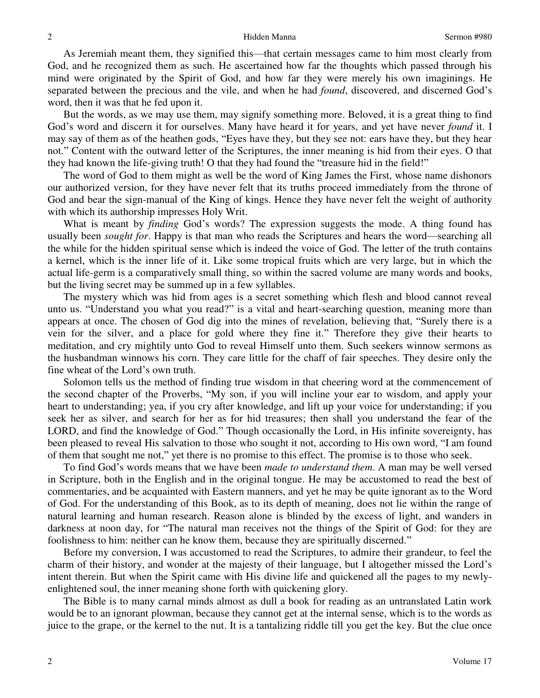#### Hidden Manna Sermon #980

As Jeremiah meant them, they signified this—that certain messages came to him most clearly from God, and he recognized them as such. He ascertained how far the thoughts which passed through his mind were originated by the Spirit of God, and how far they were merely his own imaginings. He separated between the precious and the vile, and when he had *found*, discovered, and discerned God's word, then it was that he fed upon it.

But the words, as we may use them, may signify something more. Beloved, it is a great thing to find God's word and discern it for ourselves. Many have heard it for years, and yet have never *found* it. I may say of them as of the heathen gods, "Eyes have they, but they see not: ears have they, but they hear not." Content with the outward letter of the Scriptures, the inner meaning is hid from their eyes. O that they had known the life-giving truth! O that they had found the "treasure hid in the field!"

The word of God to them might as well be the word of King James the First, whose name dishonors our authorized version, for they have never felt that its truths proceed immediately from the throne of God and bear the sign-manual of the King of kings. Hence they have never felt the weight of authority with which its authorship impresses Holy Writ.

What is meant by *finding* God's words? The expression suggests the mode. A thing found has usually been *sought for*. Happy is that man who reads the Scriptures and hears the word—searching all the while for the hidden spiritual sense which is indeed the voice of God. The letter of the truth contains a kernel, which is the inner life of it. Like some tropical fruits which are very large, but in which the actual life-germ is a comparatively small thing, so within the sacred volume are many words and books, but the living secret may be summed up in a few syllables.

The mystery which was hid from ages is a secret something which flesh and blood cannot reveal unto us. "Understand you what you read?" is a vital and heart-searching question, meaning more than appears at once. The chosen of God dig into the mines of revelation, believing that, "Surely there is a vein for the silver, and a place for gold where they fine it." Therefore they give their hearts to meditation, and cry mightily unto God to reveal Himself unto them. Such seekers winnow sermons as the husbandman winnows his corn. They care little for the chaff of fair speeches. They desire only the fine wheat of the Lord's own truth.

Solomon tells us the method of finding true wisdom in that cheering word at the commencement of the second chapter of the Proverbs, "My son, if you will incline your ear to wisdom, and apply your heart to understanding; yea, if you cry after knowledge, and lift up your voice for understanding; if you seek her as silver, and search for her as for hid treasures; then shall you understand the fear of the LORD, and find the knowledge of God." Though occasionally the Lord, in His infinite sovereignty, has been pleased to reveal His salvation to those who sought it not, according to His own word, "I am found of them that sought me not," yet there is no promise to this effect. The promise is to those who seek.

To find God's words means that we have been *made to understand them*. A man may be well versed in Scripture, both in the English and in the original tongue. He may be accustomed to read the best of commentaries, and be acquainted with Eastern manners, and yet he may be quite ignorant as to the Word of God. For the understanding of this Book, as to its depth of meaning, does not lie within the range of natural learning and human research. Reason alone is blinded by the excess of light, and wanders in darkness at noon day, for "The natural man receives not the things of the Spirit of God: for they are foolishness to him: neither can he know them, because they are spiritually discerned."

Before my conversion, I was accustomed to read the Scriptures, to admire their grandeur, to feel the charm of their history, and wonder at the majesty of their language, but I altogether missed the Lord's intent therein. But when the Spirit came with His divine life and quickened all the pages to my newlyenlightened soul, the inner meaning shone forth with quickening glory.

The Bible is to many carnal minds almost as dull a book for reading as an untranslated Latin work would be to an ignorant plowman, because they cannot get at the internal sense, which is to the words as juice to the grape, or the kernel to the nut. It is a tantalizing riddle till you get the key. But the clue once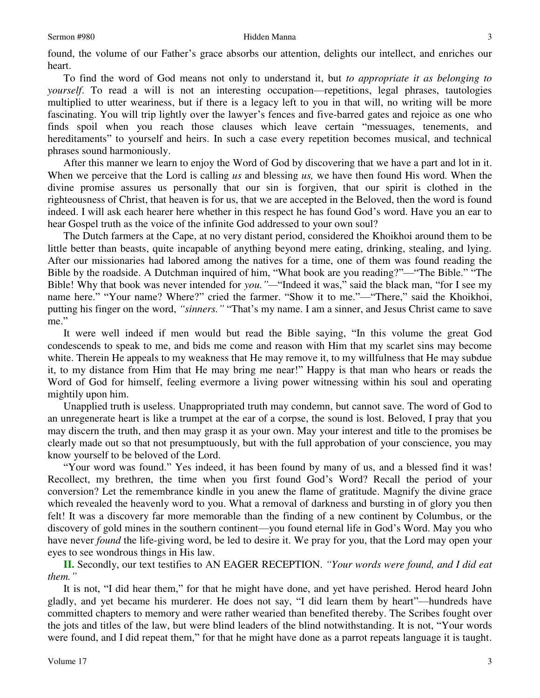found, the volume of our Father's grace absorbs our attention, delights our intellect, and enriches our heart.

To find the word of God means not only to understand it, but *to appropriate it as belonging to yourself*. To read a will is not an interesting occupation—repetitions, legal phrases, tautologies multiplied to utter weariness, but if there is a legacy left to you in that will, no writing will be more fascinating. You will trip lightly over the lawyer's fences and five-barred gates and rejoice as one who finds spoil when you reach those clauses which leave certain "messuages, tenements, and hereditaments" to yourself and heirs. In such a case every repetition becomes musical, and technical phrases sound harmoniously.

After this manner we learn to enjoy the Word of God by discovering that we have a part and lot in it. When we perceive that the Lord is calling *us* and blessing *us,* we have then found His word. When the divine promise assures us personally that our sin is forgiven, that our spirit is clothed in the righteousness of Christ, that heaven is for us, that we are accepted in the Beloved, then the word is found indeed. I will ask each hearer here whether in this respect he has found God's word. Have you an ear to hear Gospel truth as the voice of the infinite God addressed to your own soul?

The Dutch farmers at the Cape, at no very distant period, considered the Khoikhoi around them to be little better than beasts, quite incapable of anything beyond mere eating, drinking, stealing, and lying. After our missionaries had labored among the natives for a time, one of them was found reading the Bible by the roadside. A Dutchman inquired of him, "What book are you reading?"—"The Bible." "The Bible! Why that book was never intended for *you."—*"Indeed it was," said the black man, "for I see my name here." "Your name? Where?" cried the farmer. "Show it to me."—"There," said the Khoikhoi, putting his finger on the word, *"sinners."* "That's my name. I am a sinner, and Jesus Christ came to save me."

It were well indeed if men would but read the Bible saying, "In this volume the great God condescends to speak to me, and bids me come and reason with Him that my scarlet sins may become white. Therein He appeals to my weakness that He may remove it, to my willfulness that He may subdue it, to my distance from Him that He may bring me near!" Happy is that man who hears or reads the Word of God for himself, feeling evermore a living power witnessing within his soul and operating mightily upon him.

Unapplied truth is useless. Unappropriated truth may condemn, but cannot save. The word of God to an unregenerate heart is like a trumpet at the ear of a corpse, the sound is lost. Beloved, I pray that you may discern the truth, and then may grasp it as your own. May your interest and title to the promises be clearly made out so that not presumptuously, but with the full approbation of your conscience, you may know yourself to be beloved of the Lord.

"Your word was found." Yes indeed, it has been found by many of us, and a blessed find it was! Recollect, my brethren, the time when you first found God's Word? Recall the period of your conversion? Let the remembrance kindle in you anew the flame of gratitude. Magnify the divine grace which revealed the heavenly word to you. What a removal of darkness and bursting in of glory you then felt! It was a discovery far more memorable than the finding of a new continent by Columbus, or the discovery of gold mines in the southern continent—you found eternal life in God's Word. May you who have never *found* the life-giving word, be led to desire it. We pray for you, that the Lord may open your eyes to see wondrous things in His law.

**II.** Secondly, our text testifies to AN EAGER RECEPTION. *"Your words were found, and I did eat them."*

It is not, "I did hear them," for that he might have done, and yet have perished. Herod heard John gladly, and yet became his murderer. He does not say, "I did learn them by heart"—hundreds have committed chapters to memory and were rather wearied than benefited thereby. The Scribes fought over the jots and titles of the law, but were blind leaders of the blind notwithstanding. It is not, "Your words were found, and I did repeat them," for that he might have done as a parrot repeats language it is taught.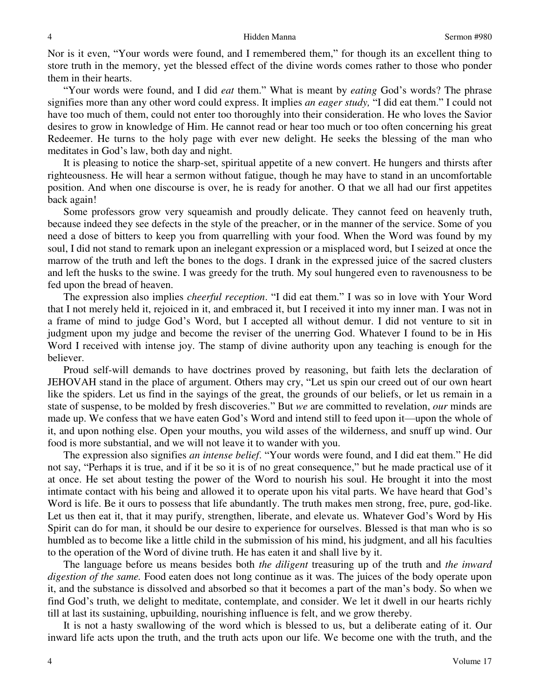Nor is it even, "Your words were found, and I remembered them," for though its an excellent thing to store truth in the memory, yet the blessed effect of the divine words comes rather to those who ponder them in their hearts.

"Your words were found, and I did *eat* them." What is meant by *eating* God's words? The phrase signifies more than any other word could express. It implies *an eager study,* "I did eat them." I could not have too much of them, could not enter too thoroughly into their consideration. He who loves the Savior desires to grow in knowledge of Him. He cannot read or hear too much or too often concerning his great Redeemer. He turns to the holy page with ever new delight. He seeks the blessing of the man who meditates in God's law, both day and night.

It is pleasing to notice the sharp-set, spiritual appetite of a new convert. He hungers and thirsts after righteousness. He will hear a sermon without fatigue, though he may have to stand in an uncomfortable position. And when one discourse is over, he is ready for another. O that we all had our first appetites back again!

Some professors grow very squeamish and proudly delicate. They cannot feed on heavenly truth, because indeed they see defects in the style of the preacher, or in the manner of the service. Some of you need a dose of bitters to keep you from quarrelling with your food. When the Word was found by my soul, I did not stand to remark upon an inelegant expression or a misplaced word, but I seized at once the marrow of the truth and left the bones to the dogs. I drank in the expressed juice of the sacred clusters and left the husks to the swine. I was greedy for the truth. My soul hungered even to ravenousness to be fed upon the bread of heaven.

The expression also implies *cheerful reception*. "I did eat them." I was so in love with Your Word that I not merely held it, rejoiced in it, and embraced it, but I received it into my inner man. I was not in a frame of mind to judge God's Word, but I accepted all without demur. I did not venture to sit in judgment upon my judge and become the reviser of the unerring God. Whatever I found to be in His Word I received with intense joy. The stamp of divine authority upon any teaching is enough for the believer.

Proud self-will demands to have doctrines proved by reasoning, but faith lets the declaration of JEHOVAH stand in the place of argument. Others may cry, "Let us spin our creed out of our own heart like the spiders. Let us find in the sayings of the great, the grounds of our beliefs, or let us remain in a state of suspense, to be molded by fresh discoveries." But *we* are committed to revelation, *our* minds are made up. We confess that we have eaten God's Word and intend still to feed upon it—upon the whole of it, and upon nothing else. Open your mouths, you wild asses of the wilderness, and snuff up wind. Our food is more substantial, and we will not leave it to wander with you.

The expression also signifies *an intense belief*. "Your words were found, and I did eat them." He did not say, "Perhaps it is true, and if it be so it is of no great consequence," but he made practical use of it at once. He set about testing the power of the Word to nourish his soul. He brought it into the most intimate contact with his being and allowed it to operate upon his vital parts. We have heard that God's Word is life. Be it ours to possess that life abundantly. The truth makes men strong, free, pure, god-like. Let us then eat it, that it may purify, strengthen, liberate, and elevate us. Whatever God's Word by His Spirit can do for man, it should be our desire to experience for ourselves. Blessed is that man who is so humbled as to become like a little child in the submission of his mind, his judgment, and all his faculties to the operation of the Word of divine truth. He has eaten it and shall live by it.

The language before us means besides both *the diligent* treasuring up of the truth and *the inward digestion of the same.* Food eaten does not long continue as it was. The juices of the body operate upon it, and the substance is dissolved and absorbed so that it becomes a part of the man's body. So when we find God's truth, we delight to meditate, contemplate, and consider. We let it dwell in our hearts richly till at last its sustaining, upbuilding, nourishing influence is felt, and we grow thereby.

It is not a hasty swallowing of the word which is blessed to us, but a deliberate eating of it. Our inward life acts upon the truth, and the truth acts upon our life. We become one with the truth, and the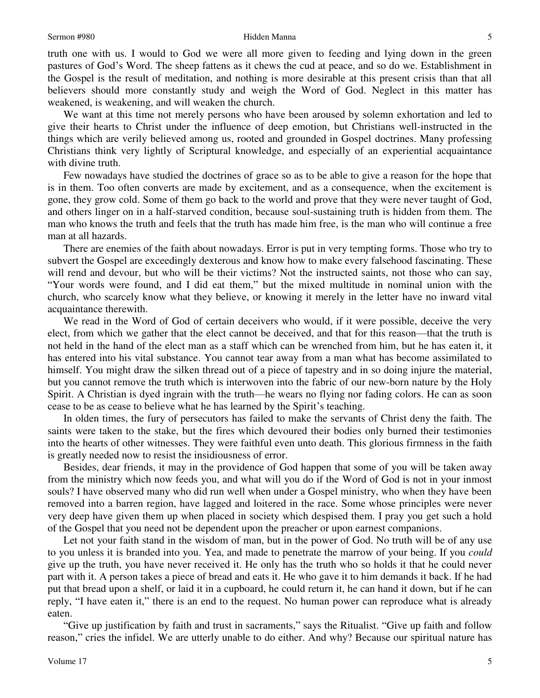truth one with us. I would to God we were all more given to feeding and lying down in the green pastures of God's Word. The sheep fattens as it chews the cud at peace, and so do we. Establishment in the Gospel is the result of meditation, and nothing is more desirable at this present crisis than that all believers should more constantly study and weigh the Word of God. Neglect in this matter has weakened, is weakening, and will weaken the church.

We want at this time not merely persons who have been aroused by solemn exhortation and led to give their hearts to Christ under the influence of deep emotion, but Christians well-instructed in the things which are verily believed among us, rooted and grounded in Gospel doctrines. Many professing Christians think very lightly of Scriptural knowledge, and especially of an experiential acquaintance with divine truth.

Few nowadays have studied the doctrines of grace so as to be able to give a reason for the hope that is in them. Too often converts are made by excitement, and as a consequence, when the excitement is gone, they grow cold. Some of them go back to the world and prove that they were never taught of God, and others linger on in a half-starved condition, because soul-sustaining truth is hidden from them. The man who knows the truth and feels that the truth has made him free, is the man who will continue a free man at all hazards.

There are enemies of the faith about nowadays. Error is put in very tempting forms. Those who try to subvert the Gospel are exceedingly dexterous and know how to make every falsehood fascinating. These will rend and devour, but who will be their victims? Not the instructed saints, not those who can say, "Your words were found, and I did eat them," but the mixed multitude in nominal union with the church, who scarcely know what they believe, or knowing it merely in the letter have no inward vital acquaintance therewith.

We read in the Word of God of certain deceivers who would, if it were possible, deceive the very elect, from which we gather that the elect cannot be deceived, and that for this reason—that the truth is not held in the hand of the elect man as a staff which can be wrenched from him, but he has eaten it, it has entered into his vital substance. You cannot tear away from a man what has become assimilated to himself. You might draw the silken thread out of a piece of tapestry and in so doing injure the material, but you cannot remove the truth which is interwoven into the fabric of our new-born nature by the Holy Spirit. A Christian is dyed ingrain with the truth—he wears no flying nor fading colors. He can as soon cease to be as cease to believe what he has learned by the Spirit's teaching.

In olden times, the fury of persecutors has failed to make the servants of Christ deny the faith. The saints were taken to the stake, but the fires which devoured their bodies only burned their testimonies into the hearts of other witnesses. They were faithful even unto death. This glorious firmness in the faith is greatly needed now to resist the insidiousness of error.

Besides, dear friends, it may in the providence of God happen that some of you will be taken away from the ministry which now feeds you, and what will you do if the Word of God is not in your inmost souls? I have observed many who did run well when under a Gospel ministry, who when they have been removed into a barren region, have lagged and loitered in the race. Some whose principles were never very deep have given them up when placed in society which despised them. I pray you get such a hold of the Gospel that you need not be dependent upon the preacher or upon earnest companions.

Let not your faith stand in the wisdom of man, but in the power of God. No truth will be of any use to you unless it is branded into you. Yea, and made to penetrate the marrow of your being. If you *could* give up the truth, you have never received it. He only has the truth who so holds it that he could never part with it. A person takes a piece of bread and eats it. He who gave it to him demands it back. If he had put that bread upon a shelf, or laid it in a cupboard, he could return it, he can hand it down, but if he can reply, "I have eaten it," there is an end to the request. No human power can reproduce what is already eaten.

"Give up justification by faith and trust in sacraments," says the Ritualist. "Give up faith and follow reason," cries the infidel. We are utterly unable to do either. And why? Because our spiritual nature has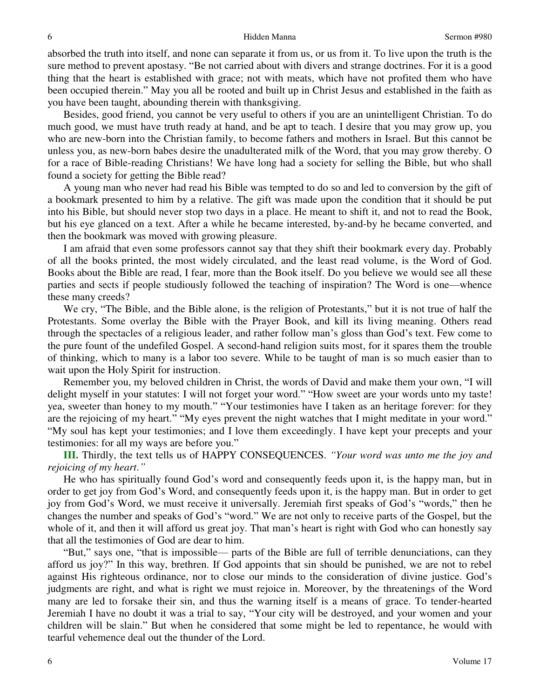#### Hidden Manna Sermon #980

absorbed the truth into itself, and none can separate it from us, or us from it. To live upon the truth is the sure method to prevent apostasy. "Be not carried about with divers and strange doctrines. For it is a good thing that the heart is established with grace; not with meats, which have not profited them who have been occupied therein." May you all be rooted and built up in Christ Jesus and established in the faith as you have been taught, abounding therein with thanksgiving.

Besides, good friend, you cannot be very useful to others if you are an unintelligent Christian. To do much good, we must have truth ready at hand, and be apt to teach. I desire that you may grow up, you who are new-born into the Christian family, to become fathers and mothers in Israel. But this cannot be unless you, as new-born babes desire the unadulterated milk of the Word, that you may grow thereby. O for a race of Bible-reading Christians! We have long had a society for selling the Bible, but who shall found a society for getting the Bible read?

A young man who never had read his Bible was tempted to do so and led to conversion by the gift of a bookmark presented to him by a relative. The gift was made upon the condition that it should be put into his Bible, but should never stop two days in a place. He meant to shift it, and not to read the Book, but his eye glanced on a text. After a while he became interested, by-and-by he became converted, and then the bookmark was moved with growing pleasure.

I am afraid that even some professors cannot say that they shift their bookmark every day. Probably of all the books printed, the most widely circulated, and the least read volume, is the Word of God. Books about the Bible are read, I fear, more than the Book itself. Do you believe we would see all these parties and sects if people studiously followed the teaching of inspiration? The Word is one—whence these many creeds?

We cry, "The Bible, and the Bible alone, is the religion of Protestants," but it is not true of half the Protestants. Some overlay the Bible with the Prayer Book, and kill its living meaning. Others read through the spectacles of a religious leader, and rather follow man's gloss than God's text. Few come to the pure fount of the undefiled Gospel. A second-hand religion suits most, for it spares them the trouble of thinking, which to many is a labor too severe. While to be taught of man is so much easier than to wait upon the Holy Spirit for instruction.

Remember you, my beloved children in Christ, the words of David and make them your own, "I will delight myself in your statutes: I will not forget your word." "How sweet are your words unto my taste! yea, sweeter than honey to my mouth." "Your testimonies have I taken as an heritage forever: for they are the rejoicing of my heart." "My eyes prevent the night watches that I might meditate in your word." "My soul has kept your testimonies; and I love them exceedingly. I have kept your precepts and your testimonies: for all my ways are before you."

**III.** Thirdly, the text tells us of HAPPY CONSEQUENCES. *"Your word was unto me the joy and rejoicing of my heart*.*"*

He who has spiritually found God's word and consequently feeds upon it, is the happy man, but in order to get joy from God's Word, and consequently feeds upon it, is the happy man. But in order to get joy from God's Word, we must receive it universally. Jeremiah first speaks of God's "words," then he changes the number and speaks of God's "word." We are not only to receive parts of the Gospel, but the whole of it, and then it will afford us great joy. That man's heart is right with God who can honestly say that all the testimonies of God are dear to him.

"But," says one, "that is impossible— parts of the Bible are full of terrible denunciations, can they afford us joy?" In this way, brethren. If God appoints that sin should be punished, we are not to rebel against His righteous ordinance, nor to close our minds to the consideration of divine justice. God's judgments are right, and what is right we must rejoice in. Moreover, by the threatenings of the Word many are led to forsake their sin, and thus the warning itself is a means of grace. To tender-hearted Jeremiah I have no doubt it was a trial to say, "Your city will be destroyed, and your women and your children will be slain." But when he considered that some might be led to repentance, he would with tearful vehemence deal out the thunder of the Lord.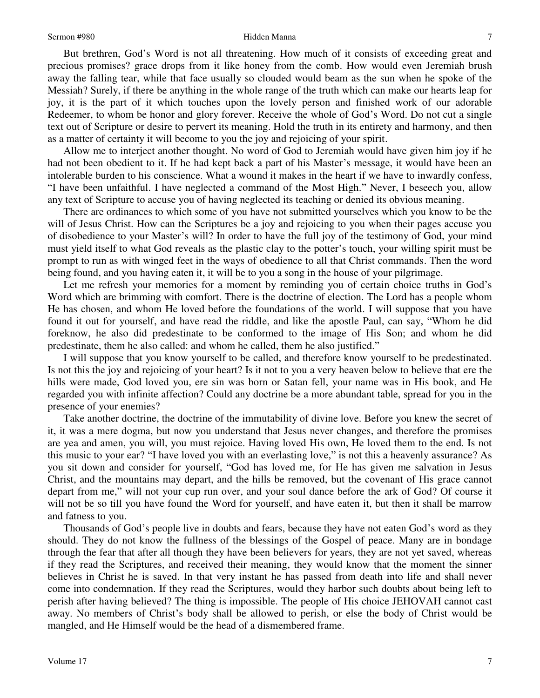But brethren, God's Word is not all threatening. How much of it consists of exceeding great and precious promises? grace drops from it like honey from the comb. How would even Jeremiah brush away the falling tear, while that face usually so clouded would beam as the sun when he spoke of the Messiah? Surely, if there be anything in the whole range of the truth which can make our hearts leap for joy, it is the part of it which touches upon the lovely person and finished work of our adorable Redeemer, to whom be honor and glory forever. Receive the whole of God's Word. Do not cut a single text out of Scripture or desire to pervert its meaning. Hold the truth in its entirety and harmony, and then as a matter of certainty it will become to you the joy and rejoicing of your spirit.

Allow me to interject another thought. No word of God to Jeremiah would have given him joy if he had not been obedient to it. If he had kept back a part of his Master's message, it would have been an intolerable burden to his conscience. What a wound it makes in the heart if we have to inwardly confess, "I have been unfaithful. I have neglected a command of the Most High." Never, I beseech you, allow any text of Scripture to accuse you of having neglected its teaching or denied its obvious meaning.

There are ordinances to which some of you have not submitted yourselves which you know to be the will of Jesus Christ. How can the Scriptures be a joy and rejoicing to you when their pages accuse you of disobedience to your Master's will? In order to have the full joy of the testimony of God, your mind must yield itself to what God reveals as the plastic clay to the potter's touch, your willing spirit must be prompt to run as with winged feet in the ways of obedience to all that Christ commands. Then the word being found, and you having eaten it, it will be to you a song in the house of your pilgrimage.

Let me refresh your memories for a moment by reminding you of certain choice truths in God's Word which are brimming with comfort. There is the doctrine of election. The Lord has a people whom He has chosen, and whom He loved before the foundations of the world. I will suppose that you have found it out for yourself, and have read the riddle, and like the apostle Paul, can say, "Whom he did foreknow, he also did predestinate to be conformed to the image of His Son; and whom he did predestinate, them he also called: and whom he called, them he also justified."

I will suppose that you know yourself to be called, and therefore know yourself to be predestinated. Is not this the joy and rejoicing of your heart? Is it not to you a very heaven below to believe that ere the hills were made, God loved you, ere sin was born or Satan fell, your name was in His book, and He regarded you with infinite affection? Could any doctrine be a more abundant table, spread for you in the presence of your enemies?

Take another doctrine, the doctrine of the immutability of divine love. Before you knew the secret of it, it was a mere dogma, but now you understand that Jesus never changes, and therefore the promises are yea and amen, you will, you must rejoice. Having loved His own, He loved them to the end. Is not this music to your ear? "I have loved you with an everlasting love," is not this a heavenly assurance? As you sit down and consider for yourself, "God has loved me, for He has given me salvation in Jesus Christ, and the mountains may depart, and the hills be removed, but the covenant of His grace cannot depart from me," will not your cup run over, and your soul dance before the ark of God? Of course it will not be so till you have found the Word for yourself, and have eaten it, but then it shall be marrow and fatness to you.

Thousands of God's people live in doubts and fears, because they have not eaten God's word as they should. They do not know the fullness of the blessings of the Gospel of peace. Many are in bondage through the fear that after all though they have been believers for years, they are not yet saved, whereas if they read the Scriptures, and received their meaning, they would know that the moment the sinner believes in Christ he is saved. In that very instant he has passed from death into life and shall never come into condemnation. If they read the Scriptures, would they harbor such doubts about being left to perish after having believed? The thing is impossible. The people of His choice JEHOVAH cannot cast away. No members of Christ's body shall be allowed to perish, or else the body of Christ would be mangled, and He Himself would be the head of a dismembered frame.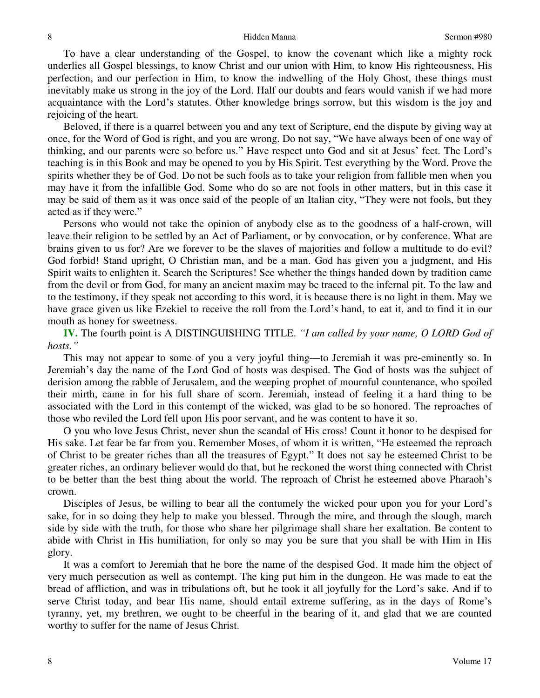To have a clear understanding of the Gospel, to know the covenant which like a mighty rock underlies all Gospel blessings, to know Christ and our union with Him, to know His righteousness, His perfection, and our perfection in Him, to know the indwelling of the Holy Ghost, these things must inevitably make us strong in the joy of the Lord. Half our doubts and fears would vanish if we had more acquaintance with the Lord's statutes. Other knowledge brings sorrow, but this wisdom is the joy and rejoicing of the heart.

Beloved, if there is a quarrel between you and any text of Scripture, end the dispute by giving way at once, for the Word of God is right, and you are wrong. Do not say, "We have always been of one way of thinking, and our parents were so before us." Have respect unto God and sit at Jesus' feet. The Lord's teaching is in this Book and may be opened to you by His Spirit. Test everything by the Word. Prove the spirits whether they be of God. Do not be such fools as to take your religion from fallible men when you may have it from the infallible God. Some who do so are not fools in other matters, but in this case it may be said of them as it was once said of the people of an Italian city, "They were not fools, but they acted as if they were."

Persons who would not take the opinion of anybody else as to the goodness of a half-crown, will leave their religion to be settled by an Act of Parliament, or by convocation, or by conference. What are brains given to us for? Are we forever to be the slaves of majorities and follow a multitude to do evil? God forbid! Stand upright, O Christian man, and be a man. God has given you a judgment, and His Spirit waits to enlighten it. Search the Scriptures! See whether the things handed down by tradition came from the devil or from God, for many an ancient maxim may be traced to the infernal pit. To the law and to the testimony, if they speak not according to this word, it is because there is no light in them. May we have grace given us like Ezekiel to receive the roll from the Lord's hand, to eat it, and to find it in our mouth as honey for sweetness.

**IV.** The fourth point is A DISTINGUISHING TITLE. *"I am called by your name, O LORD God of hosts."*

This may not appear to some of you a very joyful thing—to Jeremiah it was pre-eminently so. In Jeremiah's day the name of the Lord God of hosts was despised. The God of hosts was the subject of derision among the rabble of Jerusalem, and the weeping prophet of mournful countenance, who spoiled their mirth, came in for his full share of scorn. Jeremiah, instead of feeling it a hard thing to be associated with the Lord in this contempt of the wicked, was glad to be so honored. The reproaches of those who reviled the Lord fell upon His poor servant, and he was content to have it so.

O you who love Jesus Christ, never shun the scandal of His cross! Count it honor to be despised for His sake. Let fear be far from you. Remember Moses, of whom it is written, "He esteemed the reproach of Christ to be greater riches than all the treasures of Egypt." It does not say he esteemed Christ to be greater riches, an ordinary believer would do that, but he reckoned the worst thing connected with Christ to be better than the best thing about the world. The reproach of Christ he esteemed above Pharaoh's crown.

Disciples of Jesus, be willing to bear all the contumely the wicked pour upon you for your Lord's sake, for in so doing they help to make you blessed. Through the mire, and through the slough, march side by side with the truth, for those who share her pilgrimage shall share her exaltation. Be content to abide with Christ in His humiliation, for only so may you be sure that you shall be with Him in His glory.

It was a comfort to Jeremiah that he bore the name of the despised God. It made him the object of very much persecution as well as contempt. The king put him in the dungeon. He was made to eat the bread of affliction, and was in tribulations oft, but he took it all joyfully for the Lord's sake. And if to serve Christ today, and bear His name, should entail extreme suffering, as in the days of Rome's tyranny, yet, my brethren, we ought to be cheerful in the bearing of it, and glad that we are counted worthy to suffer for the name of Jesus Christ.